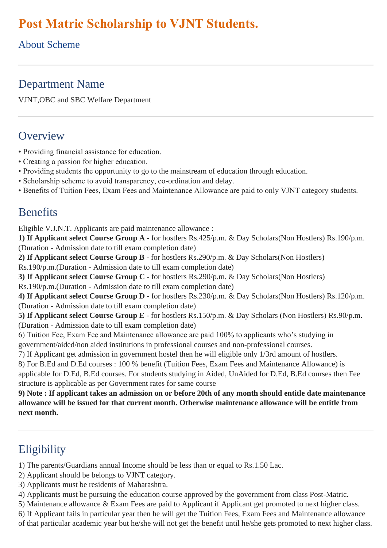# **Post Matric Scholarship to VJNT Students.**

About Scheme

### Department Name

VJNT,OBC and SBC Welfare Department

### **Overview**

- Providing financial assistance for education.
- Creating a passion for higher education.
- Providing students the opportunity to go to the mainstream of education through education.
- Scholarship scheme to avoid transparency, co-ordination and delay.
- Benefits of Tuition Fees, Exam Fees and Maintenance Allowance are paid to only VJNT category students.

#### **Benefits**

Eligible V.J.N.T. Applicants are paid maintenance allowance :

**1) If Applicant select Course Group A -** for hostlers Rs.425/p.m. & Day Scholars(Non Hostlers) Rs.190/p.m. (Duration - Admission date to till exam completion date)

**2) If Applicant select Course Group B -** for hostlers Rs.290/p.m. & Day Scholars(Non Hostlers) Rs.190/p.m.(Duration - Admission date to till exam completion date)

**3) If Applicant select Course Group C -** for hostlers Rs.290/p.m. & Day Scholars(Non Hostlers)

Rs.190/p.m.(Duration - Admission date to till exam completion date)

**4) If Applicant select Course Group D -** for hostlers Rs.230/p.m. & Day Scholars(Non Hostlers) Rs.120/p.m. (Duration - Admission date to till exam completion date)

**5) If Applicant select Course Group E -** for hostlers Rs.150/p.m. & Day Scholars (Non Hostlers) Rs.90/p.m. (Duration - Admission date to till exam completion date)

6) Tuition Fee, Exam Fee and Maintenance allowance are paid 100% to applicants who's studying in government/aided/non aided institutions in professional courses and non-professional courses.

7) If Applicant get admission in government hostel then he will eligible only 1/3rd amount of hostlers.

8) For B.Ed and D.Ed courses : 100 % benefit (Tuition Fees, Exam Fees and Maintenance Allowance) is applicable for D.Ed, B.Ed courses. For students studying in Aided, UnAided for D.Ed, B.Ed courses then Fee structure is applicable as per Government rates for same course

9) Note: If applicant takes an admission on or before 20th of any month should entitle date maintenance **allowance will be issued for that current month. Otherwise maintenance allowance will be entitle from next month.**

## Eligibility

1) The parents/Guardians annual Income should be less than or equal to Rs.1.50 Lac.

- 2) Applicant should be belongs to VJNT category.
- 3) Applicants must be residents of Maharashtra.

4) Applicants must be pursuing the education course approved by the government from class Post-Matric.

5) Maintenance allowance & Exam Fees are paid to Applicant if Applicant get promoted to next higher class.

6) If Applicant fails in particular year then he will get the Tuition Fees, Exam Fees and Maintenance allowance of that particular academic year but he/she will not get the benefit until he/she gets promoted to next higher class.